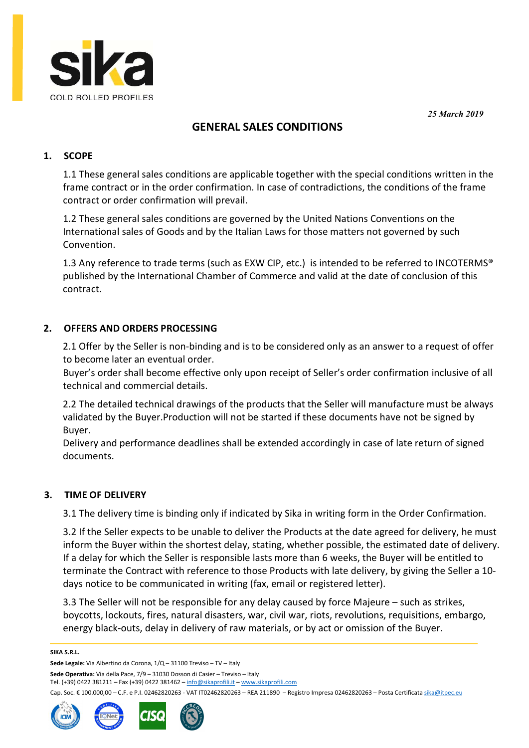25 March 2019



# GENERAL SALES CONDITIONS

## 1. SCOPE

1.1 These general sales conditions are applicable together with the special conditions written in the frame contract or in the order confirmation. In case of contradictions, the conditions of the frame contract or order confirmation will prevail.

1.2 These general sales conditions are governed by the United Nations Conventions on the International sales of Goods and by the Italian Laws for those matters not governed by such Convention.

1.3 Any reference to trade terms (such as EXW CIP, etc.) is intended to be referred to INCOTERMS<sup>®</sup> published by the International Chamber of Commerce and valid at the date of conclusion of this contract.

## 2. OFFERS AND ORDERS PROCESSING

2.1 Offer by the Seller is non-binding and is to be considered only as an answer to a request of offer to become later an eventual order.

Buyer's order shall become effective only upon receipt of Seller's order confirmation inclusive of all technical and commercial details.

2.2 The detailed technical drawings of the products that the Seller will manufacture must be always validated by the Buyer.Production will not be started if these documents have not be signed by Buyer.

Delivery and performance deadlines shall be extended accordingly in case of late return of signed documents.

### 3. TIME OF DELIVERY

3.1 The delivery time is binding only if indicated by Sika in writing form in the Order Confirmation.

3.2 If the Seller expects to be unable to deliver the Products at the date agreed for delivery, he must inform the Buyer within the shortest delay, stating, whether possible, the estimated date of delivery. If a delay for which the Seller is responsible lasts more than 6 weeks, the Buyer will be entitled to terminate the Contract with reference to those Products with late delivery, by giving the Seller a 10 days notice to be communicated in writing (fax, email or registered letter).

3.3 The Seller will not be responsible for any delay caused by force Majeure – such as strikes, boycotts, lockouts, fires, natural disasters, war, civil war, riots, revolutions, requisitions, embargo, energy black-outs, delay in delivery of raw materials, or by act or omission of the Buyer.

#### SIKA S.R.L.

Sede Legale: Via Albertino da Corona, 1/Q – 31100 Treviso – TV – Italy

Sede Operativa: Via della Pace, 7/9 – 31030 Dosson di Casier – Treviso – Italy

Tel. (+39) 0422 381211 – Fax (+39) 0422 381462 – info@sikaprofili.it – www.sikaprofili.com

Cap. Soc. € 100.000,00 - C.F. e P.I. 02462820263 - VAT IT02462820263 - REA 211890 - Registro Impresa 02462820263 - Posta Certificata sika@itpec.eu



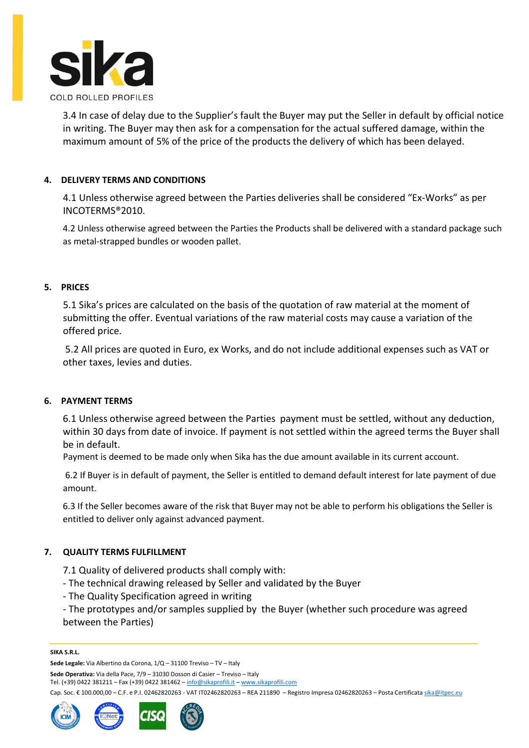

3.4 In case of delay due to the Supplier's fault the Buyer may put the Seller in default by official notice in writing. The Buyer may then ask for a compensation for the actual suffered damage, within the maximum amount of 5% of the price of the products the delivery of which has been delayed.

### 4. DELIVERY TERMS AND CONDITIONS

4.1 Unless otherwise agreed between the Parties deliveries shall be considered "Ex-Works" as per INCOTERMS®2010.

4.2 Unless otherwise agreed between the Parties the Products shall be delivered with a standard package such as metal-strapped bundles or wooden pallet.

### 5. PRICES

5.1 Sika's prices are calculated on the basis of the quotation of raw material at the moment of submitting the offer. Eventual variations of the raw material costs may cause a variation of the offered price.

 5.2 All prices are quoted in Euro, ex Works, and do not include additional expenses such as VAT or other taxes, levies and duties.

### 6. PAYMENT TERMS

6.1 Unless otherwise agreed between the Parties payment must be settled, without any deduction, within 30 days from date of invoice. If payment is not settled within the agreed terms the Buyer shall be in default.

Payment is deemed to be made only when Sika has the due amount available in its current account.

 6.2 If Buyer is in default of payment, the Seller is entitled to demand default interest for late payment of due amount.

6.3 If the Seller becomes aware of the risk that Buyer may not be able to perform his obligations the Seller is entitled to deliver only against advanced payment.

### 7. QUALITY TERMS FULFILLMENT

7.1 Quality of delivered products shall comply with:

- The technical drawing released by Seller and validated by the Buyer
- The Quality Specification agreed in writing

- The prototypes and/or samples supplied by the Buyer (whether such procedure was agreed between the Parties)

#### SIKA S.R.L.

Sede Operativa: Via della Pace, 7/9 – 31030 Dosson di Casier – Treviso – Italy

Tel. (+39) 0422 381211 – Fax (+39) 0422 381462 – info@sikaprofili.it – www.sikaprofili.com

Cap. Soc. € 100.000,00 - C.F. e P.I. 02462820263 - VAT IT02462820263 - REA 211890 - Registro Impresa 02462820263 - Posta Certificata sika@itpec.eu



Sede Legale: Via Albertino da Corona, 1/Q – 31100 Treviso – TV – Italy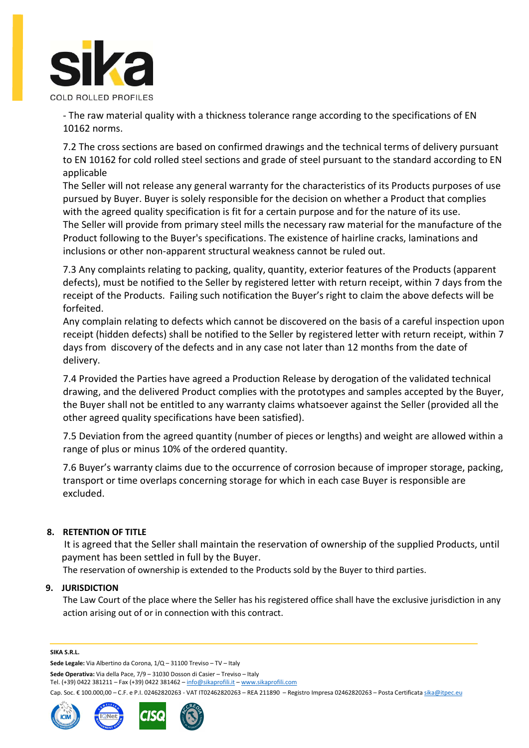

- The raw material quality with a thickness tolerance range according to the specifications of EN 10162 norms.

7.2 The cross sections are based on confirmed drawings and the technical terms of delivery pursuant to EN 10162 for cold rolled steel sections and grade of steel pursuant to the standard according to EN applicable

The Seller will not release any general warranty for the characteristics of its Products purposes of use pursued by Buyer. Buyer is solely responsible for the decision on whether a Product that complies with the agreed quality specification is fit for a certain purpose and for the nature of its use. The Seller will provide from primary steel mills the necessary raw material for the manufacture of the Product following to the Buyer's specifications. The existence of hairline cracks, laminations and inclusions or other non-apparent structural weakness cannot be ruled out.

7.3 Any complaints relating to packing, quality, quantity, exterior features of the Products (apparent defects), must be notified to the Seller by registered letter with return receipt, within 7 days from the receipt of the Products. Failing such notification the Buyer's right to claim the above defects will be forfeited.

Any complain relating to defects which cannot be discovered on the basis of a careful inspection upon receipt (hidden defects) shall be notified to the Seller by registered letter with return receipt, within 7 days from discovery of the defects and in any case not later than 12 months from the date of delivery.

7.4 Provided the Parties have agreed a Production Release by derogation of the validated technical drawing, and the delivered Product complies with the prototypes and samples accepted by the Buyer, the Buyer shall not be entitled to any warranty claims whatsoever against the Seller (provided all the other agreed quality specifications have been satisfied).

7.5 Deviation from the agreed quantity (number of pieces or lengths) and weight are allowed within a range of plus or minus 10% of the ordered quantity.

7.6 Buyer's warranty claims due to the occurrence of corrosion because of improper storage, packing, transport or time overlaps concerning storage for which in each case Buyer is responsible are excluded.

### 8. RETENTION OF TITLE

 It is agreed that the Seller shall maintain the reservation of ownership of the supplied Products, until payment has been settled in full by the Buyer.

The reservation of ownership is extended to the Products sold by the Buyer to third parties.

#### 9. JURISDICTION

The Law Court of the place where the Seller has his registered office shall have the exclusive jurisdiction in any action arising out of or in connection with this contract.

#### SIKA S.R.L.

Sede Legale: Via Albertino da Corona, 1/Q – 31100 Treviso – TV – Italy

Sede Operativa: Via della Pace, 7/9 – 31030 Dosson di Casier – Treviso – Italy

Tel. (+39) 0422 381211 – Fax (+39) 0422 381462 – info@sikaprofili.it – www.sikaprofili.com

Cap. Soc. € 100.000,00 - C.F. e P.I. 02462820263 - VAT IT02462820263 - REA 211890 - Registro Impresa 02462820263 - Posta Certificata sika@itpec.eu